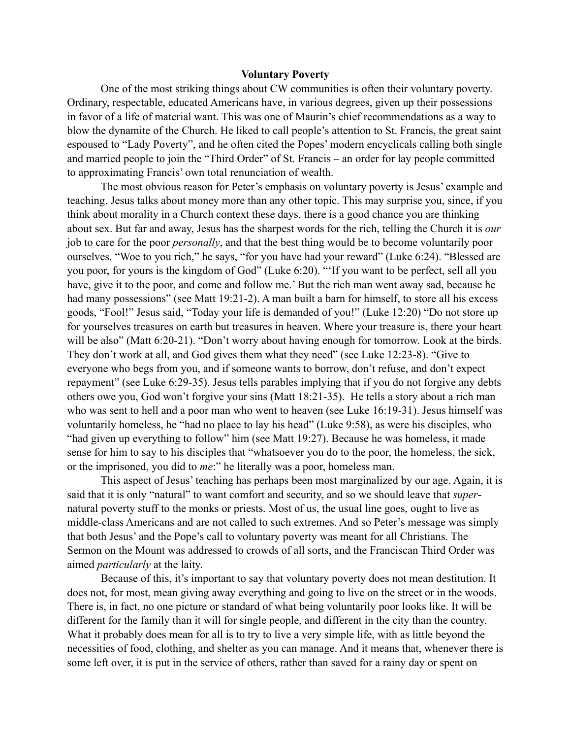## **Voluntary Poverty**

One of the most striking things about CW communities is often their voluntary poverty. Ordinary, respectable, educated Americans have, in various degrees, given up their possessions in favor of a life of material want. This was one of Maurin's chief recommendations as a way to blow the dynamite of the Church. He liked to call people's attention to St. Francis, the great saint espoused to "Lady Poverty", and he often cited the Popes' modern encyclicals calling both single and married people to join the "Third Order" of St. Francis – an order for lay people committed to approximating Francis' own total renunciation of wealth.

The most obvious reason for Peter's emphasis on voluntary poverty is Jesus' example and teaching. Jesus talks about money more than any other topic. This may surprise you, since, if you think about morality in a Church context these days, there is a good chance you are thinking about sex. But far and away, Jesus has the sharpest words for the rich, telling the Church it is *our*  job to care for the poor *personally*, and that the best thing would be to become voluntarily poor ourselves. "Woe to you rich," he says, "for you have had your reward" (Luke 6:24). "Blessed are you poor, for yours is the kingdom of God" (Luke 6:20). "'If you want to be perfect, sell all you have, give it to the poor, and come and follow me.' But the rich man went away sad, because he had many possessions" (see Matt 19:21-2). A man built a barn for himself, to store all his excess goods, "Fool!" Jesus said, "Today your life is demanded of you!" (Luke 12:20) "Do not store up for yourselves treasures on earth but treasures in heaven. Where your treasure is, there your heart will be also" (Matt 6:20-21). "Don't worry about having enough for tomorrow. Look at the birds. They don't work at all, and God gives them what they need" (see Luke 12:23-8). "Give to everyone who begs from you, and if someone wants to borrow, don't refuse, and don't expect repayment" (see Luke 6:29-35). Jesus tells parables implying that if you do not forgive any debts others owe you, God won't forgive your sins (Matt 18:21-35). He tells a story about a rich man who was sent to hell and a poor man who went to heaven (see Luke 16:19-31). Jesus himself was voluntarily homeless, he "had no place to lay his head" (Luke 9:58), as were his disciples, who "had given up everything to follow" him (see Matt 19:27). Because he was homeless, it made sense for him to say to his disciples that "whatsoever you do to the poor, the homeless, the sick, or the imprisoned, you did to *me*:" he literally was a poor, homeless man.

This aspect of Jesus' teaching has perhaps been most marginalized by our age. Again, it is said that it is only "natural" to want comfort and security, and so we should leave that *super*natural poverty stuff to the monks or priests. Most of us, the usual line goes, ought to live as middle-class Americans and are not called to such extremes. And so Peter's message was simply that both Jesus' and the Pope's call to voluntary poverty was meant for all Christians. The Sermon on the Mount was addressed to crowds of all sorts, and the Franciscan Third Order was aimed *particularly* at the laity.

Because of this, it's important to say that voluntary poverty does not mean destitution. It does not, for most, mean giving away everything and going to live on the street or in the woods. There is, in fact, no one picture or standard of what being voluntarily poor looks like. It will be different for the family than it will for single people, and different in the city than the country. What it probably does mean for all is to try to live a very simple life, with as little beyond the necessities of food, clothing, and shelter as you can manage. And it means that, whenever there is some left over, it is put in the service of others, rather than saved for a rainy day or spent on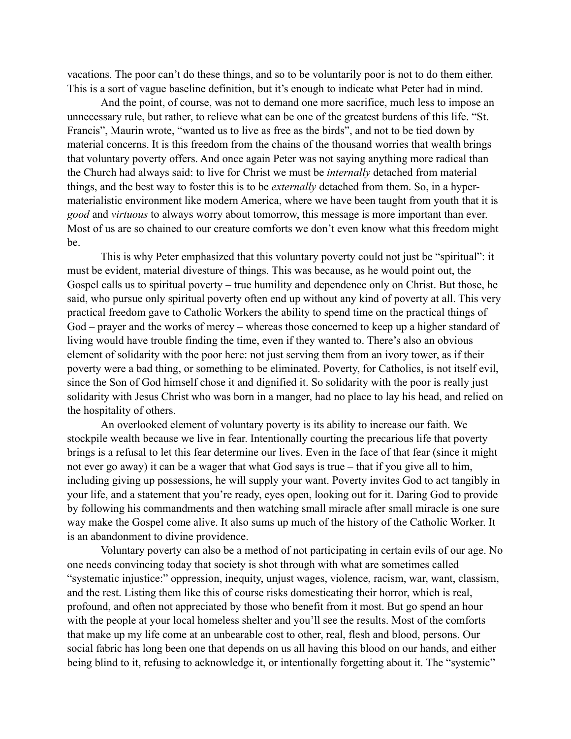vacations. The poor can't do these things, and so to be voluntarily poor is not to do them either. This is a sort of vague baseline definition, but it's enough to indicate what Peter had in mind.

And the point, of course, was not to demand one more sacrifice, much less to impose an unnecessary rule, but rather, to relieve what can be one of the greatest burdens of this life. "St. Francis", Maurin wrote, "wanted us to live as free as the birds", and not to be tied down by material concerns. It is this freedom from the chains of the thousand worries that wealth brings that voluntary poverty offers. And once again Peter was not saying anything more radical than the Church had always said: to live for Christ we must be *internally* detached from material things, and the best way to foster this is to be *externally* detached from them. So, in a hypermaterialistic environment like modern America, where we have been taught from youth that it is *good* and *virtuous* to always worry about tomorrow, this message is more important than ever. Most of us are so chained to our creature comforts we don't even know what this freedom might be.

This is why Peter emphasized that this voluntary poverty could not just be "spiritual": it must be evident, material divesture of things. This was because, as he would point out, the Gospel calls us to spiritual poverty – true humility and dependence only on Christ. But those, he said, who pursue only spiritual poverty often end up without any kind of poverty at all. This very practical freedom gave to Catholic Workers the ability to spend time on the practical things of God – prayer and the works of mercy – whereas those concerned to keep up a higher standard of living would have trouble finding the time, even if they wanted to. There's also an obvious element of solidarity with the poor here: not just serving them from an ivory tower, as if their poverty were a bad thing, or something to be eliminated. Poverty, for Catholics, is not itself evil, since the Son of God himself chose it and dignified it. So solidarity with the poor is really just solidarity with Jesus Christ who was born in a manger, had no place to lay his head, and relied on the hospitality of others.

An overlooked element of voluntary poverty is its ability to increase our faith. We stockpile wealth because we live in fear. Intentionally courting the precarious life that poverty brings is a refusal to let this fear determine our lives. Even in the face of that fear (since it might not ever go away) it can be a wager that what God says is true – that if you give all to him, including giving up possessions, he will supply your want. Poverty invites God to act tangibly in your life, and a statement that you're ready, eyes open, looking out for it. Daring God to provide by following his commandments and then watching small miracle after small miracle is one sure way make the Gospel come alive. It also sums up much of the history of the Catholic Worker. It is an abandonment to divine providence.

Voluntary poverty can also be a method of not participating in certain evils of our age. No one needs convincing today that society is shot through with what are sometimes called "systematic injustice:" oppression, inequity, unjust wages, violence, racism, war, want, classism, and the rest. Listing them like this of course risks domesticating their horror, which is real, profound, and often not appreciated by those who benefit from it most. But go spend an hour with the people at your local homeless shelter and you'll see the results. Most of the comforts that make up my life come at an unbearable cost to other, real, flesh and blood, persons. Our social fabric has long been one that depends on us all having this blood on our hands, and either being blind to it, refusing to acknowledge it, or intentionally forgetting about it. The "systemic"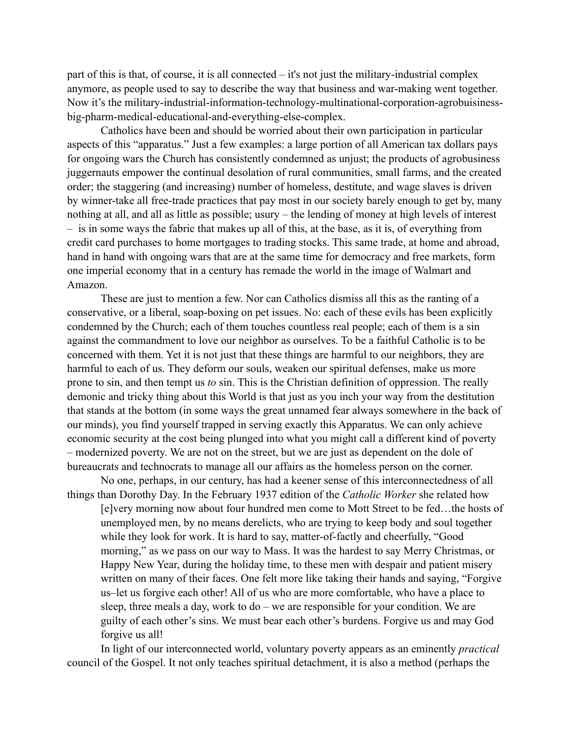part of this is that, of course, it is all connected – it's not just the military-industrial complex anymore, as people used to say to describe the way that business and war-making went together. Now it's the military-industrial-information-technology-multinational-corporation-agrobuisinessbig-pharm-medical-educational-and-everything-else-complex.

Catholics have been and should be worried about their own participation in particular aspects of this "apparatus." Just a few examples: a large portion of all American tax dollars pays for ongoing wars the Church has consistently condemned as unjust; the products of agrobusiness juggernauts empower the continual desolation of rural communities, small farms, and the created order; the staggering (and increasing) number of homeless, destitute, and wage slaves is driven by winner-take all free-trade practices that pay most in our society barely enough to get by, many nothing at all, and all as little as possible; usury – the lending of money at high levels of interest – is in some ways the fabric that makes up all of this, at the base, as it is, of everything from credit card purchases to home mortgages to trading stocks. This same trade, at home and abroad, hand in hand with ongoing wars that are at the same time for democracy and free markets, form one imperial economy that in a century has remade the world in the image of Walmart and Amazon.

These are just to mention a few. Nor can Catholics dismiss all this as the ranting of a conservative, or a liberal, soap-boxing on pet issues. No: each of these evils has been explicitly condemned by the Church; each of them touches countless real people; each of them is a sin against the commandment to love our neighbor as ourselves. To be a faithful Catholic is to be concerned with them. Yet it is not just that these things are harmful to our neighbors, they are harmful to each of us. They deform our souls, weaken our spiritual defenses, make us more prone to sin, and then tempt us *to* sin. This is the Christian definition of oppression. The really demonic and tricky thing about this World is that just as you inch your way from the destitution that stands at the bottom (in some ways the great unnamed fear always somewhere in the back of our minds), you find yourself trapped in serving exactly this Apparatus. We can only achieve economic security at the cost being plunged into what you might call a different kind of poverty – modernized poverty. We are not on the street, but we are just as dependent on the dole of bureaucrats and technocrats to manage all our affairs as the homeless person on the corner.

No one, perhaps, in our century, has had a keener sense of this interconnectedness of all things than Dorothy Day. In the February 1937 edition of the *Catholic Worker* she related how

[e]very morning now about four hundred men come to Mott Street to be fed…the hosts of unemployed men, by no means derelicts, who are trying to keep body and soul together while they look for work. It is hard to say, matter-of-factly and cheerfully, "Good morning," as we pass on our way to Mass. It was the hardest to say Merry Christmas, or Happy New Year, during the holiday time, to these men with despair and patient misery written on many of their faces. One felt more like taking their hands and saying, "Forgive us–let us forgive each other! All of us who are more comfortable, who have a place to sleep, three meals a day, work to do – we are responsible for your condition. We are guilty of each other's sins. We must bear each other's burdens. Forgive us and may God forgive us all!

In light of our interconnected world, voluntary poverty appears as an eminently *practical*  council of the Gospel. It not only teaches spiritual detachment, it is also a method (perhaps the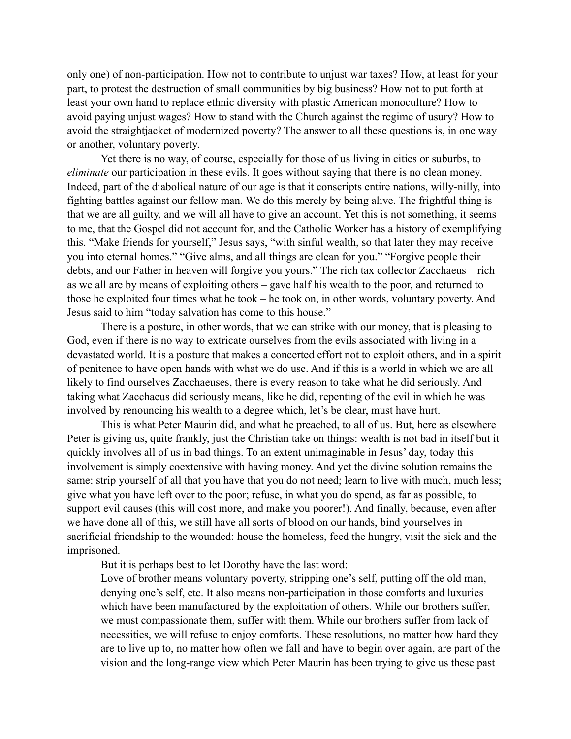only one) of non-participation. How not to contribute to unjust war taxes? How, at least for your part, to protest the destruction of small communities by big business? How not to put forth at least your own hand to replace ethnic diversity with plastic American monoculture? How to avoid paying unjust wages? How to stand with the Church against the regime of usury? How to avoid the straightjacket of modernized poverty? The answer to all these questions is, in one way or another, voluntary poverty.

Yet there is no way, of course, especially for those of us living in cities or suburbs, to *eliminate* our participation in these evils. It goes without saying that there is no clean money. Indeed, part of the diabolical nature of our age is that it conscripts entire nations, willy-nilly, into fighting battles against our fellow man. We do this merely by being alive. The frightful thing is that we are all guilty, and we will all have to give an account. Yet this is not something, it seems to me, that the Gospel did not account for, and the Catholic Worker has a history of exemplifying this. "Make friends for yourself," Jesus says, "with sinful wealth, so that later they may receive you into eternal homes." "Give alms, and all things are clean for you." "Forgive people their debts, and our Father in heaven will forgive you yours." The rich tax collector Zacchaeus – rich as we all are by means of exploiting others – gave half his wealth to the poor, and returned to those he exploited four times what he took – he took on, in other words, voluntary poverty. And Jesus said to him "today salvation has come to this house."

There is a posture, in other words, that we can strike with our money, that is pleasing to God, even if there is no way to extricate ourselves from the evils associated with living in a devastated world. It is a posture that makes a concerted effort not to exploit others, and in a spirit of penitence to have open hands with what we do use. And if this is a world in which we are all likely to find ourselves Zacchaeuses, there is every reason to take what he did seriously. And taking what Zacchaeus did seriously means, like he did, repenting of the evil in which he was involved by renouncing his wealth to a degree which, let's be clear, must have hurt.

This is what Peter Maurin did, and what he preached, to all of us. But, here as elsewhere Peter is giving us, quite frankly, just the Christian take on things: wealth is not bad in itself but it quickly involves all of us in bad things. To an extent unimaginable in Jesus' day, today this involvement is simply coextensive with having money. And yet the divine solution remains the same: strip yourself of all that you have that you do not need; learn to live with much, much less; give what you have left over to the poor; refuse, in what you do spend, as far as possible, to support evil causes (this will cost more, and make you poorer!). And finally, because, even after we have done all of this, we still have all sorts of blood on our hands, bind yourselves in sacrificial friendship to the wounded: house the homeless, feed the hungry, visit the sick and the imprisoned.

But it is perhaps best to let Dorothy have the last word:

Love of brother means voluntary poverty, stripping one's self, putting off the old man, denying one's self, etc. It also means non-participation in those comforts and luxuries which have been manufactured by the exploitation of others. While our brothers suffer, we must compassionate them, suffer with them. While our brothers suffer from lack of necessities, we will refuse to enjoy comforts. These resolutions, no matter how hard they are to live up to, no matter how often we fall and have to begin over again, are part of the vision and the long-range view which Peter Maurin has been trying to give us these past